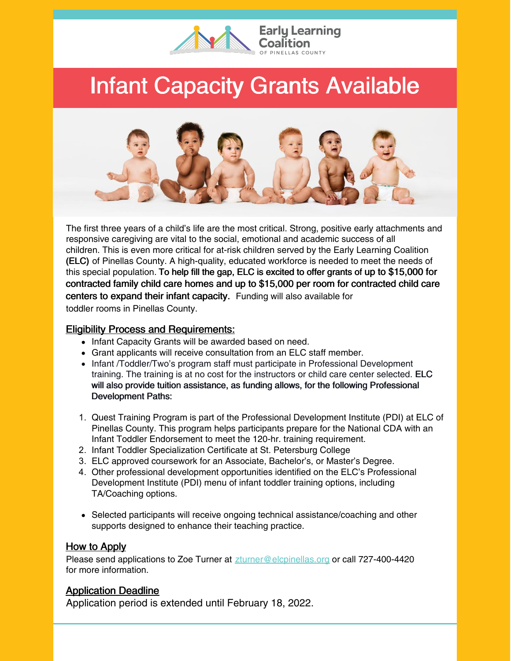

## Infant Capacity Grants Available



The first three years of a child's life are the most critical. Strong, positive early attachments and responsive caregiving are vital to the social, emotional and academic success of all children. This is even more critical for at-risk children served by the Early Learning Coalition (ELC) of Pinellas County. A high-quality, educated workforce is needed to meet the needs of this special population. To help fill the gap, ELC is excited to offer grants of up to \$15,000 for contracted family child care homes and up to \$15,000 per room for contracted child care centers to expand their infant capacity. Funding will also available for toddler rooms in Pinellas County.

## **Eligibility Process and Requirements:**

- Infant Capacity Grants will be awarded based on need.
- Grant applicants will receive consultation from an ELC staff member.
- Infant /Toddler/Two's program staff must participate in Professional Development training. The training is at no cost for the instructors or child care center selected. ELC will also provide tuition assistance, as funding allows, for the following Professional Development Paths:
- 1. Quest Training Program is part of the Professional Development Institute (PDI) at ELC of Pinellas County. This program helps participants prepare for the National CDA with an Infant Toddler Endorsement to meet the 120-hr. training requirement.
- 2. Infant Toddler Specialization Certificate at St. Petersburg College
- 3. ELC approved coursework for an Associate, Bachelor's, or Master's Degree.
- 4. Other professional development opportunities identified on the ELC's Professional Development Institute (PDI) menu of infant toddler training options, including TA/Coaching options.
- Selected participants will receive ongoing technical assistance/coaching and other supports designed to enhance their teaching practice.

## How to Apply

Please send applications to Zoe Turner at [zturner@elcpinellas.org](mailto:zturner@elcpinellas.org) or call 727-400-4420 for more information.

## Application Deadline

Application period is extended until February 18, 2022.